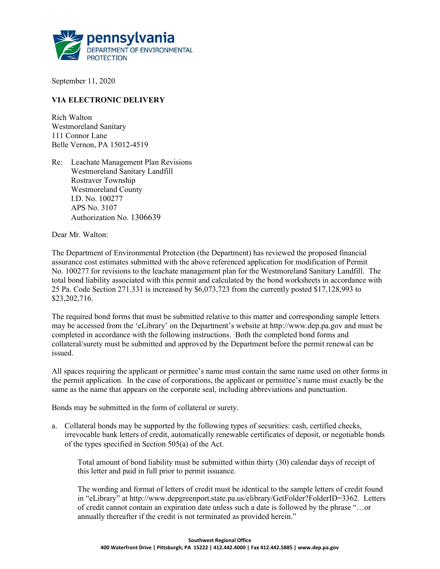

September 11, 2020

## VIA ELECTRONIC DELIVERY

Rich Walton Westmoreland Sanitary 111 Connor Lane Belle Vernon, PA 15012-4519

Re: Leachate Management Plan Revisions Westmoreland Sanitary Landfill Rostraver Township Westmoreland County I.D. No. 100277 APS No. 3107 Authorization No. 1306639

Dear Mr. Walton:

The Department of Environmental Protection (the Department) has reviewed the proposed financial assurance cost estimates submitted with the above referenced application for modification of Permit No. 100277 for revisions to the leachate management plan for the Westmoreland Sanitary Landfill. The total bond liability associated with this permit and calculated by the bond worksheets in accordance with 25 Pa. Code Section 271.331 is increased by \$6,073,723 from the currently posted \$17,128,993 to \$23,202,716.

The required bond forms that must be submitted relative to this matter and corresponding sample letters may be accessed from the 'eLibrary' on the Department's website at http://www.dep.pa.gov and must be completed in accordance with the following instructions. Both the completed bond forms and collateral/surety must be submitted and approved by the Department before the permit renewal can be issued.

All spaces requiring the applicant or permittee's name must contain the same name used on other forms in the permit application. In the case of corporations, the applicant or permittee's name must exactly be the same as the name that appears on the corporate seal, including abbreviations and punctuation.

Bonds may be submitted in the form of collateral or surety.

a. Collateral bonds may be supported by the following types of securities: cash, certified checks, irrevocable bank letters of credit, automatically renewable certificates of deposit, or negotiable bonds of the types specified in Section 505(a) of the Act.

Total amount of bond liability must be submitted within thirty (30) calendar days of receipt of this letter and paid in full prior to permit issuance.

The wording and format of letters of credit must be identical to the sample letters of credit found in "eLibrary" at http://www.depgreenport.state.pa.us/elibrary/GetFolder?FolderID=3362. Letters of credit cannot contain an expiration date unless such a date is followed by the phrase "…or annually thereafter if the credit is not terminated as provided herein."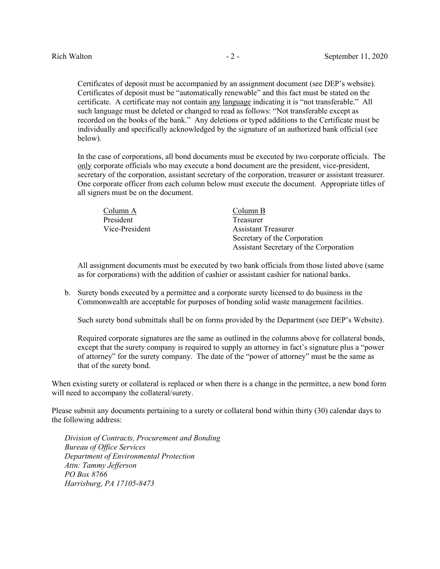Certificates of deposit must be accompanied by an assignment document (see DEP's website). Certificates of deposit must be "automatically renewable" and this fact must be stated on the certificate. A certificate may not contain any language indicating it is "not transferable." All such language must be deleted or changed to read as follows: "Not transferable except as recorded on the books of the bank." Any deletions or typed additions to the Certificate must be individually and specifically acknowledged by the signature of an authorized bank official (see below).

In the case of corporations, all bond documents must be executed by two corporate officials. The only corporate officials who may execute a bond document are the president, vice-president, secretary of the corporation, assistant secretary of the corporation, treasurer or assistant treasurer. One corporate officer from each column below must execute the document. Appropriate titles of all signers must be on the document.

| Column A       | Column B                               |
|----------------|----------------------------------------|
| President      | Treasurer                              |
| Vice-President | <b>Assistant Treasurer</b>             |
|                | Secretary of the Corporation           |
|                | Assistant Secretary of the Corporation |

All assignment documents must be executed by two bank officials from those listed above (same as for corporations) with the addition of cashier or assistant cashier for national banks.

b. Surety bonds executed by a permittee and a corporate surety licensed to do business in the Commonwealth are acceptable for purposes of bonding solid waste management facilities.

Such surety bond submittals shall be on forms provided by the Department (see DEP's Website).

Required corporate signatures are the same as outlined in the columns above for collateral bonds, except that the surety company is required to supply an attorney in fact's signature plus a "power of attorney" for the surety company. The date of the "power of attorney" must be the same as that of the surety bond.

When existing surety or collateral is replaced or when there is a change in the permittee, a new bond form will need to accompany the collateral/surety.

Please submit any documents pertaining to a surety or collateral bond within thirty (30) calendar days to the following address:

Division of Contracts, Procurement and Bonding Bureau of Office Services Department of Environmental Protection Attn: Tammy Jefferson PO Box 8766 Harrisburg, PA 17105-8473